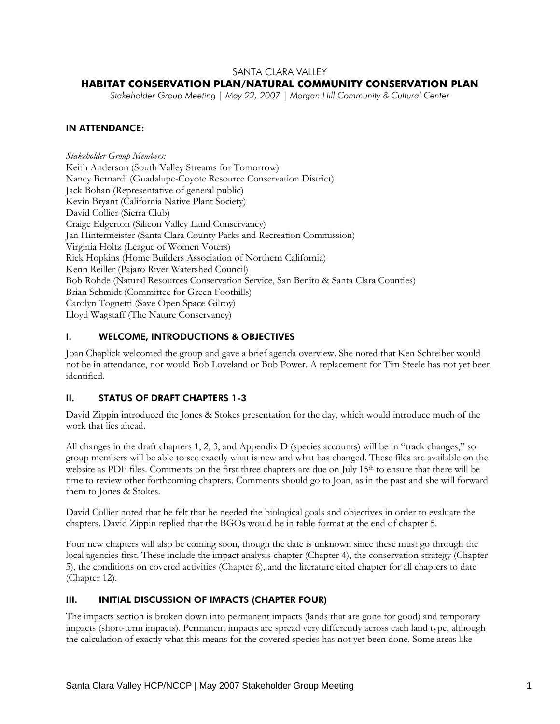## SANTA CLARA VALLEY

## **HABITAT CONSERVATION PLAN/NATURAL COMMUNITY CONSERVATION PLAN**

*Stakeholder Group Meeting | May 22, 2007 | Morgan Hill Community & Cultural Center* 

## IN ATTENDANCE:

*Stakeholder Group Members:*  Keith Anderson (South Valley Streams for Tomorrow) Nancy Bernardi (Guadalupe-Coyote Resource Conservation District) Jack Bohan (Representative of general public) Kevin Bryant (California Native Plant Society) David Collier (Sierra Club) Craige Edgerton (Silicon Valley Land Conservancy) Jan Hintermeister (Santa Clara County Parks and Recreation Commission) Virginia Holtz (League of Women Voters) Rick Hopkins (Home Builders Association of Northern California) Kenn Reiller (Pajaro River Watershed Council) Bob Rohde (Natural Resources Conservation Service, San Benito & Santa Clara Counties) Brian Schmidt (Committee for Green Foothills) Carolyn Tognetti (Save Open Space Gilroy) Lloyd Wagstaff (The Nature Conservancy)

## I. WELCOME, INTRODUCTIONS & OBJECTIVES

Joan Chaplick welcomed the group and gave a brief agenda overview. She noted that Ken Schreiber would not be in attendance, nor would Bob Loveland or Bob Power. A replacement for Tim Steele has not yet been identified.

#### II. STATUS OF DRAFT CHAPTERS 1-3

David Zippin introduced the Jones & Stokes presentation for the day, which would introduce much of the work that lies ahead.

All changes in the draft chapters 1, 2, 3, and Appendix D (species accounts) will be in "track changes," so group members will be able to see exactly what is new and what has changed. These files are available on the website as PDF files. Comments on the first three chapters are due on July 15<sup>th</sup> to ensure that there will be time to review other forthcoming chapters. Comments should go to Joan, as in the past and she will forward them to Jones & Stokes.

David Collier noted that he felt that he needed the biological goals and objectives in order to evaluate the chapters. David Zippin replied that the BGOs would be in table format at the end of chapter 5.

Four new chapters will also be coming soon, though the date is unknown since these must go through the local agencies first. These include the impact analysis chapter (Chapter 4), the conservation strategy (Chapter 5), the conditions on covered activities (Chapter 6), and the literature cited chapter for all chapters to date (Chapter 12).

## III. INITIAL DISCUSSION OF IMPACTS (CHAPTER FOUR)

The impacts section is broken down into permanent impacts (lands that are gone for good) and temporary impacts (short-term impacts). Permanent impacts are spread very differently across each land type, although the calculation of exactly what this means for the covered species has not yet been done. Some areas like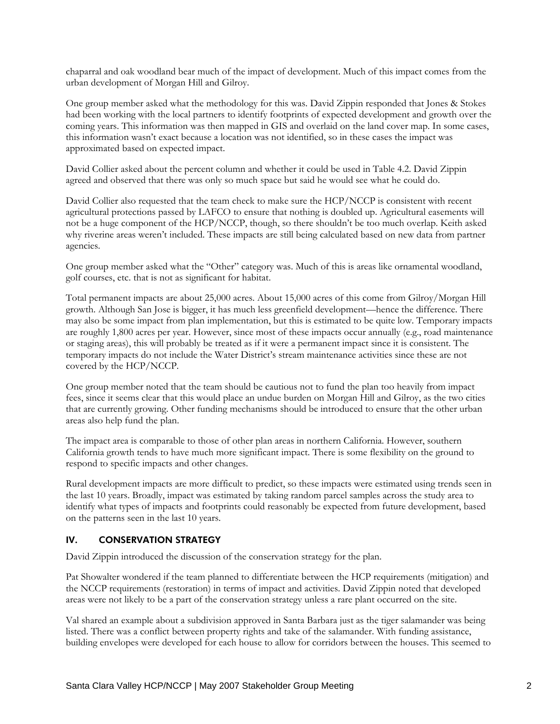chaparral and oak woodland bear much of the impact of development. Much of this impact comes from the urban development of Morgan Hill and Gilroy.

One group member asked what the methodology for this was. David Zippin responded that Jones & Stokes had been working with the local partners to identify footprints of expected development and growth over the coming years. This information was then mapped in GIS and overlaid on the land cover map. In some cases, this information wasn't exact because a location was not identified, so in these cases the impact was approximated based on expected impact.

David Collier asked about the percent column and whether it could be used in Table 4.2. David Zippin agreed and observed that there was only so much space but said he would see what he could do.

David Collier also requested that the team check to make sure the HCP/NCCP is consistent with recent agricultural protections passed by LAFCO to ensure that nothing is doubled up. Agricultural easements will not be a huge component of the HCP/NCCP, though, so there shouldn't be too much overlap. Keith asked why riverine areas weren't included. These impacts are still being calculated based on new data from partner agencies.

One group member asked what the "Other" category was. Much of this is areas like ornamental woodland, golf courses, etc. that is not as significant for habitat.

Total permanent impacts are about 25,000 acres. About 15,000 acres of this come from Gilroy/Morgan Hill growth. Although San Jose is bigger, it has much less greenfield development—hence the difference. There may also be some impact from plan implementation, but this is estimated to be quite low. Temporary impacts are roughly 1,800 acres per year. However, since most of these impacts occur annually (e.g., road maintenance or staging areas), this will probably be treated as if it were a permanent impact since it is consistent. The temporary impacts do not include the Water District's stream maintenance activities since these are not covered by the HCP/NCCP.

One group member noted that the team should be cautious not to fund the plan too heavily from impact fees, since it seems clear that this would place an undue burden on Morgan Hill and Gilroy, as the two cities that are currently growing. Other funding mechanisms should be introduced to ensure that the other urban areas also help fund the plan.

The impact area is comparable to those of other plan areas in northern California. However, southern California growth tends to have much more significant impact. There is some flexibility on the ground to respond to specific impacts and other changes.

Rural development impacts are more difficult to predict, so these impacts were estimated using trends seen in the last 10 years. Broadly, impact was estimated by taking random parcel samples across the study area to identify what types of impacts and footprints could reasonably be expected from future development, based on the patterns seen in the last 10 years.

#### IV. CONSERVATION STRATEGY

David Zippin introduced the discussion of the conservation strategy for the plan.

Pat Showalter wondered if the team planned to differentiate between the HCP requirements (mitigation) and the NCCP requirements (restoration) in terms of impact and activities. David Zippin noted that developed areas were not likely to be a part of the conservation strategy unless a rare plant occurred on the site.

Val shared an example about a subdivision approved in Santa Barbara just as the tiger salamander was being listed. There was a conflict between property rights and take of the salamander. With funding assistance, building envelopes were developed for each house to allow for corridors between the houses. This seemed to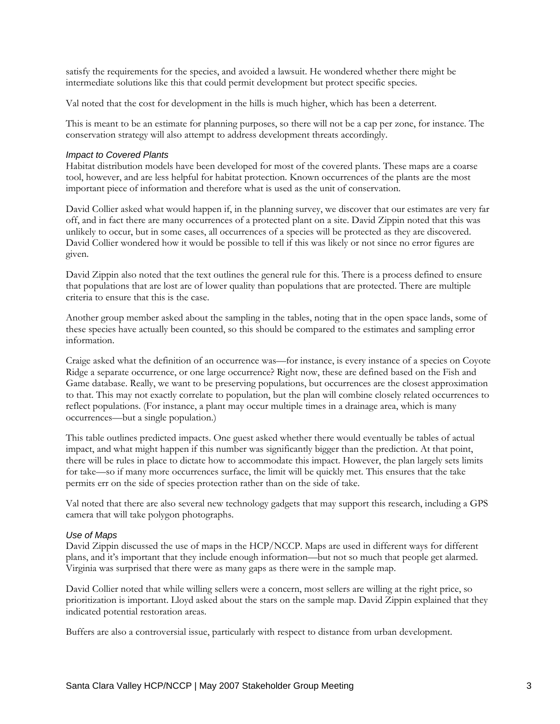satisfy the requirements for the species, and avoided a lawsuit. He wondered whether there might be intermediate solutions like this that could permit development but protect specific species.

Val noted that the cost for development in the hills is much higher, which has been a deterrent.

This is meant to be an estimate for planning purposes, so there will not be a cap per zone, for instance. The conservation strategy will also attempt to address development threats accordingly.

#### *Impact to Covered Plants*

Habitat distribution models have been developed for most of the covered plants. These maps are a coarse tool, however, and are less helpful for habitat protection. Known occurrences of the plants are the most important piece of information and therefore what is used as the unit of conservation.

David Collier asked what would happen if, in the planning survey, we discover that our estimates are very far off, and in fact there are many occurrences of a protected plant on a site. David Zippin noted that this was unlikely to occur, but in some cases, all occurrences of a species will be protected as they are discovered. David Collier wondered how it would be possible to tell if this was likely or not since no error figures are given.

David Zippin also noted that the text outlines the general rule for this. There is a process defined to ensure that populations that are lost are of lower quality than populations that are protected. There are multiple criteria to ensure that this is the case.

Another group member asked about the sampling in the tables, noting that in the open space lands, some of these species have actually been counted, so this should be compared to the estimates and sampling error information.

Craige asked what the definition of an occurrence was—for instance, is every instance of a species on Coyote Ridge a separate occurrence, or one large occurrence? Right now, these are defined based on the Fish and Game database. Really, we want to be preserving populations, but occurrences are the closest approximation to that. This may not exactly correlate to population, but the plan will combine closely related occurrences to reflect populations. (For instance, a plant may occur multiple times in a drainage area, which is many occurrences—but a single population.)

This table outlines predicted impacts. One guest asked whether there would eventually be tables of actual impact, and what might happen if this number was significantly bigger than the prediction. At that point, there will be rules in place to dictate how to accommodate this impact. However, the plan largely sets limits for take—so if many more occurrences surface, the limit will be quickly met. This ensures that the take permits err on the side of species protection rather than on the side of take.

Val noted that there are also several new technology gadgets that may support this research, including a GPS camera that will take polygon photographs.

#### *Use of Maps*

David Zippin discussed the use of maps in the HCP/NCCP. Maps are used in different ways for different plans, and it's important that they include enough information—but not so much that people get alarmed. Virginia was surprised that there were as many gaps as there were in the sample map.

David Collier noted that while willing sellers were a concern, most sellers are willing at the right price, so prioritization is important. Lloyd asked about the stars on the sample map. David Zippin explained that they indicated potential restoration areas.

Buffers are also a controversial issue, particularly with respect to distance from urban development.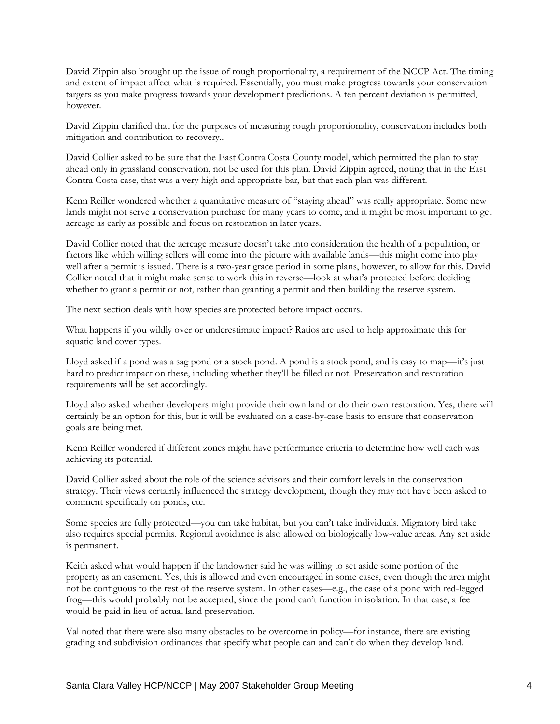David Zippin also brought up the issue of rough proportionality, a requirement of the NCCP Act. The timing and extent of impact affect what is required. Essentially, you must make progress towards your conservation targets as you make progress towards your development predictions. A ten percent deviation is permitted, however.

David Zippin clarified that for the purposes of measuring rough proportionality, conservation includes both mitigation and contribution to recovery..

David Collier asked to be sure that the East Contra Costa County model, which permitted the plan to stay ahead only in grassland conservation, not be used for this plan. David Zippin agreed, noting that in the East Contra Costa case, that was a very high and appropriate bar, but that each plan was different.

Kenn Reiller wondered whether a quantitative measure of "staying ahead" was really appropriate. Some new lands might not serve a conservation purchase for many years to come, and it might be most important to get acreage as early as possible and focus on restoration in later years.

David Collier noted that the acreage measure doesn't take into consideration the health of a population, or factors like which willing sellers will come into the picture with available lands—this might come into play well after a permit is issued. There is a two-year grace period in some plans, however, to allow for this. David Collier noted that it might make sense to work this in reverse—look at what's protected before deciding whether to grant a permit or not, rather than granting a permit and then building the reserve system.

The next section deals with how species are protected before impact occurs.

What happens if you wildly over or underestimate impact? Ratios are used to help approximate this for aquatic land cover types.

Lloyd asked if a pond was a sag pond or a stock pond. A pond is a stock pond, and is easy to map—it's just hard to predict impact on these, including whether they'll be filled or not. Preservation and restoration requirements will be set accordingly.

Lloyd also asked whether developers might provide their own land or do their own restoration. Yes, there will certainly be an option for this, but it will be evaluated on a case-by-case basis to ensure that conservation goals are being met.

Kenn Reiller wondered if different zones might have performance criteria to determine how well each was achieving its potential.

David Collier asked about the role of the science advisors and their comfort levels in the conservation strategy. Their views certainly influenced the strategy development, though they may not have been asked to comment specifically on ponds, etc.

Some species are fully protected—you can take habitat, but you can't take individuals. Migratory bird take also requires special permits. Regional avoidance is also allowed on biologically low-value areas. Any set aside is permanent.

Keith asked what would happen if the landowner said he was willing to set aside some portion of the property as an easement. Yes, this is allowed and even encouraged in some cases, even though the area might not be contiguous to the rest of the reserve system. In other cases—e.g., the case of a pond with red-legged frog—this would probably not be accepted, since the pond can't function in isolation. In that case, a fee would be paid in lieu of actual land preservation.

Val noted that there were also many obstacles to be overcome in policy—for instance, there are existing grading and subdivision ordinances that specify what people can and can't do when they develop land.